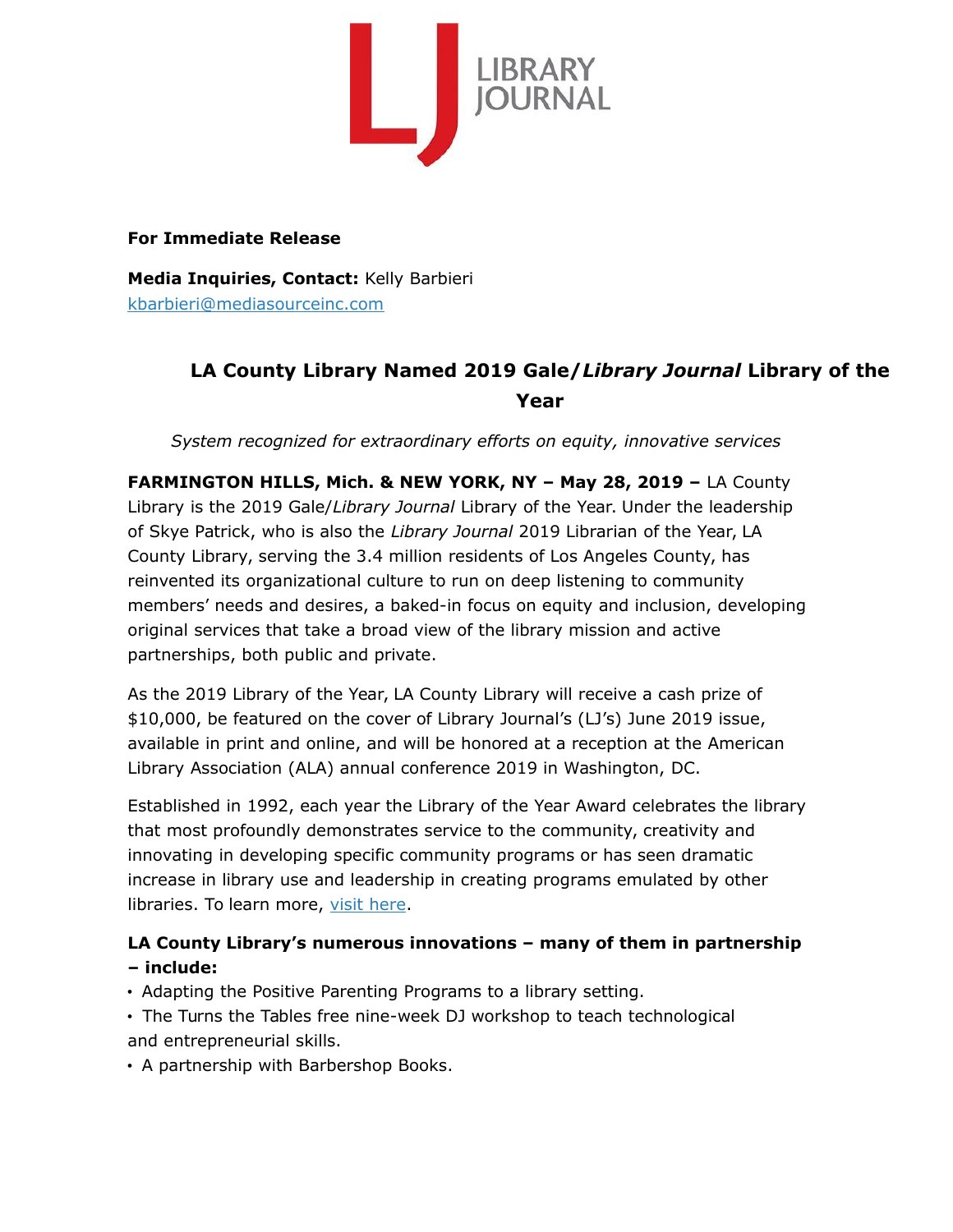

#### **For Immediate Release**

**Media Inquiries, Contact:** Kelly Barbieri [kbarbieri@mediasourceinc.com](mailto:kbarbieri@mediasourceinc.com)

# **LA County Library Named 2019 Gale/***Library Journal* **Library of the Year**

*System recognized for extraordinary efforts on equity, innovative services*

**FARMINGTON HILLS, Mich. & NEW YORK, NY – May 28, 2019 –** LA County Library is the 2019 Gale/*Library Journal* Library of the Year. Under the leadership of Skye Patrick, who is also the *Library Journal* 2019 Librarian of the Year, LA County Library, serving the 3.4 million residents of Los Angeles County, has reinvented its organizational culture to run on deep listening to community members' needs and desires, a baked-in focus on equity and inclusion, developing original services that take a broad view of the library mission and active partnerships, both public and private.

As the 2019 Library of the Year, LA County Library will receive a cash prize of \$10,000, be featured on the cover of Library Journal's (LJ's) June 2019 issue, available in print and online, and will be honored at a reception at the American Library Association (ALA) annual conference 2019 in Washington, DC.

Established in 1992, each year the Library of the Year Award celebrates the library that most profoundly demonstrates service to the community, creativity and innovating in developing specific community programs or has seen dramatic increase in library use and leadership in creating programs emulated by other libraries. To learn more, [visit here.](http://mediasource.actonservice.com/acton/ct/10574/e-851c-1905/Bct/l-tst/l-tst:6c/ct9_0/1?sid=TV2%3AZb6LpSGJb)

## **LA County Library's numerous innovations – many of them in partnership – include:**

- Adapting the Positive Parenting Programs to a library setting.
- The Turns the Tables free nine-week DJ workshop to teach technological and entrepreneurial skills.
- A partnership with Barbershop Books.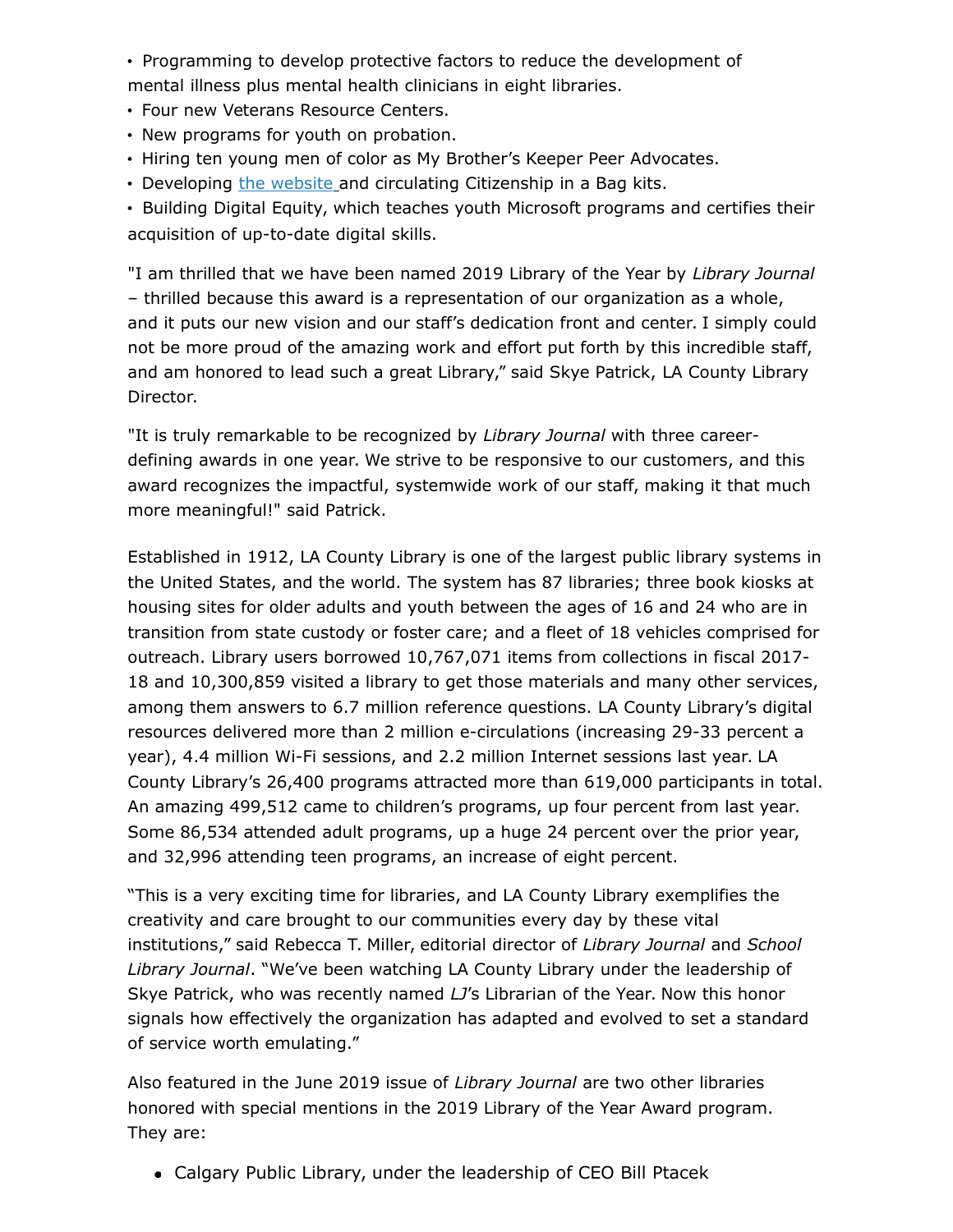• Programming to develop protective factors to reduce the development of mental illness plus mental health clinicians in eight libraries.

- Four new Veterans Resource Centers.
- New programs for youth on probation.
- Hiring ten young men of color as My Brother's Keeper Peer Advocates.
- Developing [the website](http://mediasource.actonservice.com/acton/ct/10574/e-851c-1905/Bct/l-tst/l-tst:6c/ct10_0/1?sid=TV2%3AZb6LpSGJb) and circulating Citizenship in a Bag kits.

• Building Digital Equity, which teaches youth Microsoft programs and certifies their acquisition of up-to-date digital skills.

"I am thrilled that we have been named 2019 Library of the Year by *Library Journal* – thrilled because this award is a representation of our organization as a whole, and it puts our new vision and our staff's dedication front and center. I simply could not be more proud of the amazing work and effort put forth by this incredible staff, and am honored to lead such a great Library," said Skye Patrick, LA County Library Director.

"It is truly remarkable to be recognized by *Library Journal* with three careerdefining awards in one year. We strive to be responsive to our customers, and this award recognizes the impactful, systemwide work of our staff, making it that much more meaningful!" said Patrick.

Established in 1912, LA County Library is one of the largest public library systems in the United States, and the world. The system has 87 libraries; three book kiosks at housing sites for older adults and youth between the ages of 16 and 24 who are in transition from state custody or foster care; and a fleet of 18 vehicles comprised for outreach. Library users borrowed 10,767,071 items from collections in fiscal 2017- 18 and 10,300,859 visited a library to get those materials and many other services, among them answers to 6.7 million reference questions. LA County Library's digital resources delivered more than 2 million e-circulations (increasing 29-33 percent a year), 4.4 million Wi-Fi sessions, and 2.2 million Internet sessions last year. LA County Library's 26,400 programs attracted more than 619,000 participants in total. An amazing 499,512 came to children's programs, up four percent from last year. Some 86,534 attended adult programs, up a huge 24 percent over the prior year, and 32,996 attending teen programs, an increase of eight percent.

"This is a very exciting time for libraries, and LA County Library exemplifies the creativity and care brought to our communities every day by these vital institutions," said Rebecca T. Miller, editorial director of *Library Journal* and *School Library Journal*. "We've been watching LA County Library under the leadership of Skye Patrick, who was recently named *LJ*'s Librarian of the Year. Now this honor signals how effectively the organization has adapted and evolved to set a standard of service worth emulating."

Also featured in the June 2019 issue of *Library Journal* are two other libraries honored with special mentions in the 2019 Library of the Year Award program. They are:

Calgary Public Library, under the leadership of CEO Bill Ptacek